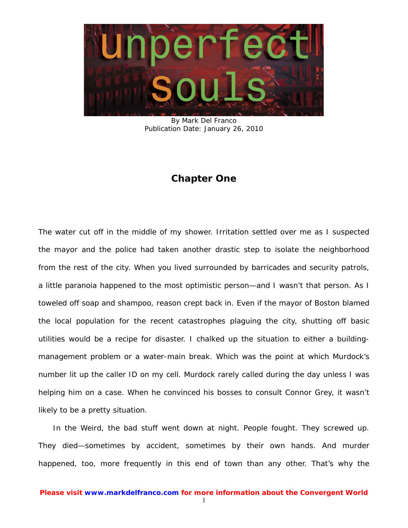

By Mark Del Franco Publication Date: January 26, 2010

## **Chapter One**

The water cut off in the middle of my shower. Irritation settled over me as I suspected the mayor and the police had taken another drastic step to isolate the neighborhood from the rest of the city. When you lived surrounded by barricades and security patrols, a little paranoia happened to the most optimistic person—and I wasn't that person. As I toweled off soap and shampoo, reason crept back in. Even if the mayor of Boston blamed the local population for the recent catastrophes plaguing the city, shutting off basic utilities would be a recipe for disaster. I chalked up the situation to either a buildingmanagement problem or a water-main break. Which was the point at which Murdock's number lit up the caller ID on my cell. Murdock rarely called during the day unless I was helping him on a case. When he convinced his bosses to consult Connor Grey, it wasn't likely to be a pretty situation.

In the Weird, the bad stuff went down at night. People fought. They screwed up. They died—sometimes by accident, sometimes by their own hands. And murder happened, too, more frequently in this end of town than any other. That's why the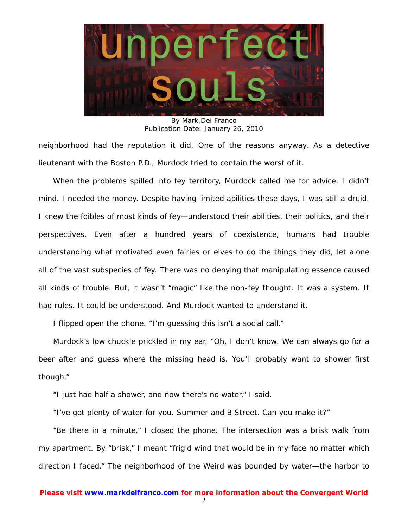

By Mark Del Franco Publication Date: January 26, 2010

neighborhood had the reputation it did. One of the reasons anyway. As a detective lieutenant with the Boston P.D., Murdock tried to contain the worst of it.

When the problems spilled into fey territory, Murdock called me for advice. I didn't mind. I needed the money. Despite having limited abilities these days, I was still a druid. I knew the foibles of most kinds of fey—understood their abilities, their politics, and their perspectives. Even after a hundred years of coexistence, humans had trouble understanding what motivated even fairies or elves to do the things they did, let alone all of the vast subspecies of fey. There was no denying that manipulating essence caused all kinds of trouble. But, it wasn't "magic" like the non-fey thought. It was a system. It had rules. It could be understood. And Murdock wanted to understand it.

I flipped open the phone. "I'm guessing this isn't a social call."

Murdock's low chuckle prickled in my ear. "Oh, I don't know. We can always go for a beer after and guess where the missing head is. You'll probably want to shower first though."

"I just had half a shower, and now there's no water," I said.

"I've got plenty of water for you. Summer and B Street. Can you make it?"

"Be there in a minute." I closed the phone. The intersection was a brisk walk from my apartment. By "brisk," I meant "frigid wind that would be in my face no matter which direction I faced." The neighborhood of the Weird was bounded by water—the harbor to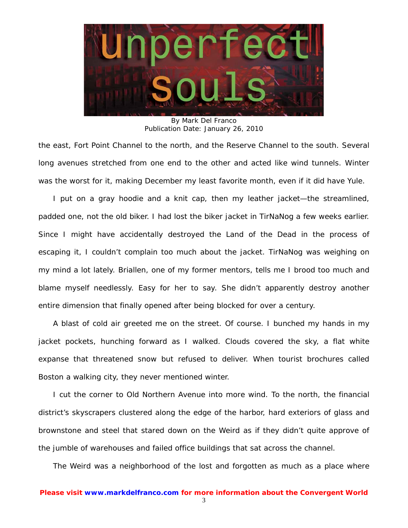

By Mark Del Franco Publication Date: January 26, 2010

the east, Fort Point Channel to the north, and the Reserve Channel to the south. Several long avenues stretched from one end to the other and acted like wind tunnels. Winter was the worst for it, making December my least favorite month, even if it did have Yule.

I put on a gray hoodie and a knit cap, then my leather jacket—the streamlined, padded one, not the old biker. I had lost the biker jacket in TirNaNog a few weeks earlier. Since I might have accidentally destroyed the Land of the Dead in the process of escaping it, I couldn't complain too much about the jacket. TirNaNog was weighing on my mind a lot lately. Briallen, one of my former mentors, tells me I brood too much and blame myself needlessly. Easy for her to say. She didn't apparently destroy another entire dimension that finally opened after being blocked for over a century.

A blast of cold air greeted me on the street. Of course. I bunched my hands in my jacket pockets, hunching forward as I walked. Clouds covered the sky, a flat white expanse that threatened snow but refused to deliver. When tourist brochures called Boston a walking city, they never mentioned winter.

I cut the corner to Old Northern Avenue into more wind. To the north, the financial district's skyscrapers clustered along the edge of the harbor, hard exteriors of glass and brownstone and steel that stared down on the Weird as if they didn't quite approve of the jumble of warehouses and failed office buildings that sat across the channel.

The Weird was a neighborhood of the lost and forgotten as much as a place where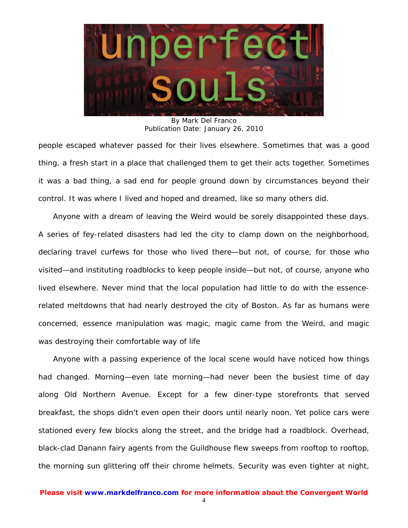

By Mark Del Franco Publication Date: January 26, 2010

people escaped whatever passed for their lives elsewhere. Sometimes that was a good thing, a fresh start in a place that challenged them to get their acts together. Sometimes it was a bad thing, a sad end for people ground down by circumstances beyond their control. It was where I lived and hoped and dreamed, like so many others did.

Anyone with a dream of leaving the Weird would be sorely disappointed these days. A series of fey-related disasters had led the city to clamp down on the neighborhood, declaring travel curfews for those who lived there—but not, of course, for those who visited—and instituting roadblocks to keep people inside—but not, of course, anyone who lived elsewhere. Never mind that the local population had little to do with the essencerelated meltdowns that had nearly destroyed the city of Boston. As far as humans were concerned, essence manipulation was magic, magic came from the Weird, and magic was destroying their comfortable way of life

Anyone with a passing experience of the local scene would have noticed how things had changed. Morning—even late morning—had never been the busiest time of day along Old Northern Avenue. Except for a few diner-type storefronts that served breakfast, the shops didn't even open their doors until nearly noon. Yet police cars were stationed every few blocks along the street, and the bridge had a roadblock. Overhead, black-clad Danann fairy agents from the Guildhouse flew sweeps from rooftop to rooftop, the morning sun glittering off their chrome helmets. Security was even tighter at night,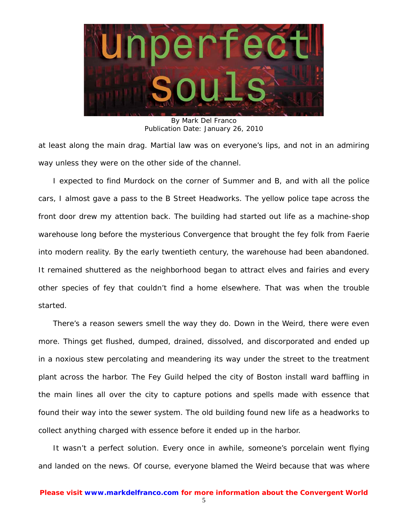

By Mark Del Franco Publication Date: January 26, 2010

at least along the main drag. Martial law was on everyone's lips, and not in an admiring way unless they were on the other side of the channel.

I expected to find Murdock on the corner of Summer and B, and with all the police cars, I almost gave a pass to the B Street Headworks. The yellow police tape across the front door drew my attention back. The building had started out life as a machine-shop warehouse long before the mysterious Convergence that brought the fey folk from Faerie into modern reality. By the early twentieth century, the warehouse had been abandoned. It remained shuttered as the neighborhood began to attract elves and fairies and every other species of fey that couldn't find a home elsewhere. That was when the trouble started.

There's a reason sewers smell the way they do. Down in the Weird, there were even more. Things get flushed, dumped, drained, dissolved, and discorporated and ended up in a noxious stew percolating and meandering its way under the street to the treatment plant across the harbor. The Fey Guild helped the city of Boston install ward baffling in the main lines all over the city to capture potions and spells made with essence that found their way into the sewer system. The old building found new life as a headworks to collect anything charged with essence before it ended up in the harbor.

It wasn't a perfect solution. Every once in awhile, someone's porcelain went flying and landed on the news. Of course, everyone blamed the Weird because that was where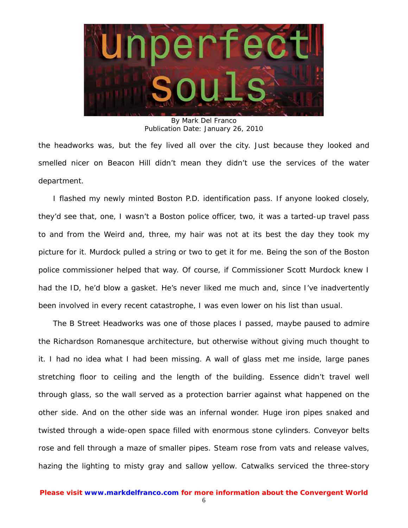

By Mark Del Franco Publication Date: January 26, 2010

the headworks was, but the fey lived all over the city. Just because they looked and smelled nicer on Beacon Hill didn't mean they didn't use the services of the water department.

I flashed my newly minted Boston P.D. identification pass. If anyone looked closely, they'd see that, one, I wasn't a Boston police officer, two, it was a tarted-up travel pass to and from the Weird and, three, my hair was not at its best the day they took my picture for it. Murdock pulled a string or two to get it for me. Being the son of the Boston police commissioner helped that way. Of course, if Commissioner Scott Murdock knew I had the ID, he'd blow a gasket. He's never liked me much and, since I've inadvertently been involved in every recent catastrophe, I was even lower on his list than usual.

The B Street Headworks was one of those places I passed, maybe paused to admire the Richardson Romanesque architecture, but otherwise without giving much thought to it. I had no idea what I had been missing. A wall of glass met me inside, large panes stretching floor to ceiling and the length of the building. Essence didn't travel well through glass, so the wall served as a protection barrier against what happened on the other side. And on the other side was an infernal wonder. Huge iron pipes snaked and twisted through a wide-open space filled with enormous stone cylinders. Conveyor belts rose and fell through a maze of smaller pipes. Steam rose from vats and release valves, hazing the lighting to misty gray and sallow yellow. Catwalks serviced the three-story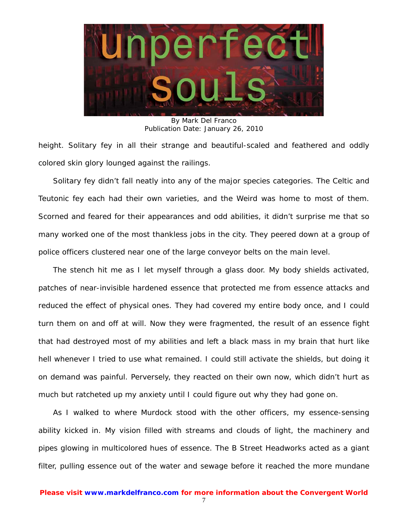

By Mark Del Franco Publication Date: January 26, 2010

height. Solitary fey in all their strange and beautiful-scaled and feathered and oddly colored skin glory lounged against the railings.

Solitary fey didn't fall neatly into any of the major species categories. The Celtic and Teutonic fey each had their own varieties, and the Weird was home to most of them. Scorned and feared for their appearances and odd abilities, it didn't surprise me that so many worked one of the most thankless jobs in the city. They peered down at a group of police officers clustered near one of the large conveyor belts on the main level.

The stench hit me as I let myself through a glass door. My body shields activated, patches of near-invisible hardened essence that protected me from essence attacks and reduced the effect of physical ones. They had covered my entire body once, and I could turn them on and off at will. Now they were fragmented, the result of an essence fight that had destroyed most of my abilities and left a black mass in my brain that hurt like hell whenever I tried to use what remained. I could still activate the shields, but doing it on demand was painful. Perversely, they reacted on their own now, which didn't hurt as much but ratcheted up my anxiety until I could figure out why they had gone on.

As I walked to where Murdock stood with the other officers, my essence-sensing ability kicked in. My vision filled with streams and clouds of light, the machinery and pipes glowing in multicolored hues of essence. The B Street Headworks acted as a giant filter, pulling essence out of the water and sewage before it reached the more mundane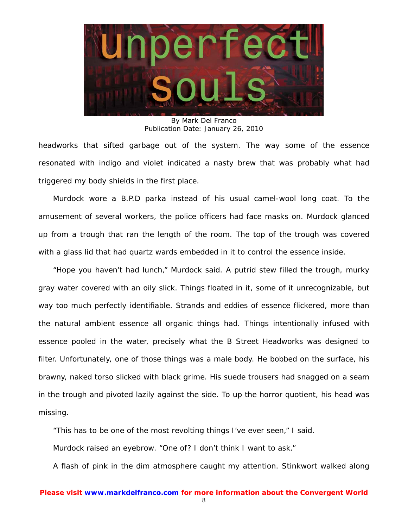

By Mark Del Franco Publication Date: January 26, 2010

headworks that sifted garbage out of the system. The way some of the essence resonated with indigo and violet indicated a nasty brew that was probably what had triggered my body shields in the first place.

Murdock wore a B.P.D parka instead of his usual camel-wool long coat. To the amusement of several workers, the police officers had face masks on. Murdock glanced up from a trough that ran the length of the room. The top of the trough was covered with a glass lid that had quartz wards embedded in it to control the essence inside.

"Hope you haven't had lunch," Murdock said. A putrid stew filled the trough, murky gray water covered with an oily slick. Things floated in it, some of it unrecognizable, but way too much perfectly identifiable. Strands and eddies of essence flickered, more than the natural ambient essence all organic things had. Things intentionally infused with essence pooled in the water, precisely what the B Street Headworks was designed to filter. Unfortunately, one of those things was a male body. He bobbed on the surface, his brawny, naked torso slicked with black grime. His suede trousers had snagged on a seam in the trough and pivoted lazily against the side. To up the horror quotient, his head was missing.

"This has to be one of the most revolting things I've ever seen," I said.

Murdock raised an eyebrow. "One of? I don't think I want to ask."

A flash of pink in the dim atmosphere caught my attention. Stinkwort walked along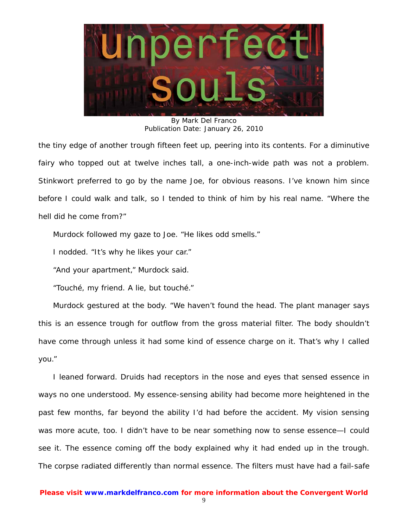

By Mark Del Franco Publication Date: January 26, 2010

the tiny edge of another trough fifteen feet up, peering into its contents. For a diminutive fairy who topped out at twelve inches tall, a one-inch-wide path was not a problem. Stinkwort preferred to go by the name Joe, for obvious reasons. I've known him since before I could walk and talk, so I tended to think of him by his real name. "Where the hell did he come from?"

Murdock followed my gaze to Joe. "He likes odd smells."

I nodded. "It's why he likes your car."

"And your apartment," Murdock said.

"Touché, my friend. A lie, but touché."

Murdock gestured at the body. "We haven't found the head. The plant manager says this is an essence trough for outflow from the gross material filter. The body shouldn't have come through unless it had some kind of essence charge on it. That's why I called you."

I leaned forward. Druids had receptors in the nose and eyes that sensed essence in ways no one understood. My essence-sensing ability had become more heightened in the past few months, far beyond the ability I'd had before the accident. My vision sensing was more acute, too. I didn't have to be near something now to sense essence—I could see it. The essence coming off the body explained why it had ended up in the trough. The corpse radiated differently than normal essence. The filters must have had a fail-safe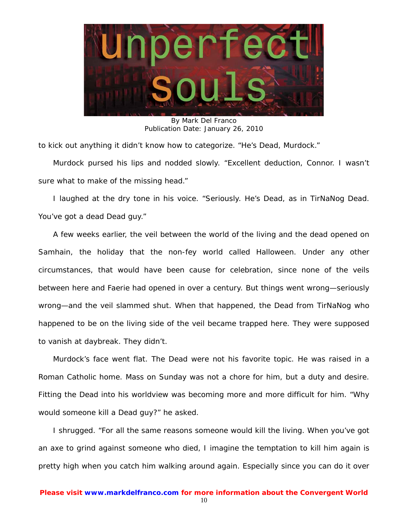

By Mark Del Franco Publication Date: January 26, 2010

to kick out anything it didn't know how to categorize. "He's Dead, Murdock."

Murdock pursed his lips and nodded slowly. "Excellent deduction, Connor. I wasn't sure what to make of the missing head."

I laughed at the dry tone in his voice. "Seriously. He's Dead, as in TirNaNog Dead. You've got a dead Dead guy."

A few weeks earlier, the veil between the world of the living and the dead opened on Samhain, the holiday that the non-fey world called Halloween. Under any other circumstances, that would have been cause for celebration, since none of the veils between here and Faerie had opened in over a century. But things went wrong—seriously wrong—and the veil slammed shut. When that happened, the Dead from TirNaNog who happened to be on the living side of the veil became trapped here. They were supposed to vanish at daybreak. They didn't.

Murdock's face went flat. The Dead were not his favorite topic. He was raised in a Roman Catholic home. Mass on Sunday was not a chore for him, but a duty and desire. Fitting the Dead into his worldview was becoming more and more difficult for him. "Why would someone kill a Dead guy?" he asked.

I shrugged. "For all the same reasons someone would kill the living. When you've got an axe to grind against someone who died, I imagine the temptation to kill him again is pretty high when you catch him walking around again. Especially since you can do it over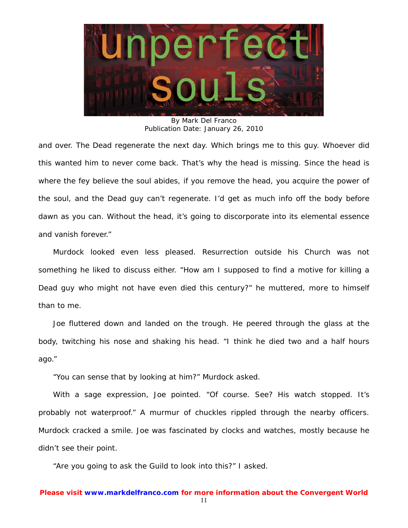

By Mark Del Franco Publication Date: January 26, 2010

and over. The Dead regenerate the next day. Which brings me to this guy. Whoever did this wanted him to never come back. That's why the head is missing. Since the head is where the fey believe the soul abides, if you remove the head, you acquire the power of the soul, and the Dead guy can't regenerate. I'd get as much info off the body before dawn as you can. Without the head, it's going to discorporate into its elemental essence and vanish forever."

Murdock looked even less pleased. Resurrection outside his Church was not something he liked to discuss either. "How am I supposed to find a motive for killing a Dead guy who might not have even died this century?" he muttered, more to himself than to me.

Joe fluttered down and landed on the trough. He peered through the glass at the body, twitching his nose and shaking his head. "I think he died two and a half hours ago."

"You can sense that by looking at him?" Murdock asked.

With a sage expression, Joe pointed. "Of course. See? His watch stopped. It's probably not waterproof." A murmur of chuckles rippled through the nearby officers. Murdock cracked a smile. Joe was fascinated by clocks and watches, mostly because he didn't see their point.

"Are you going to ask the Guild to look into this?" I asked.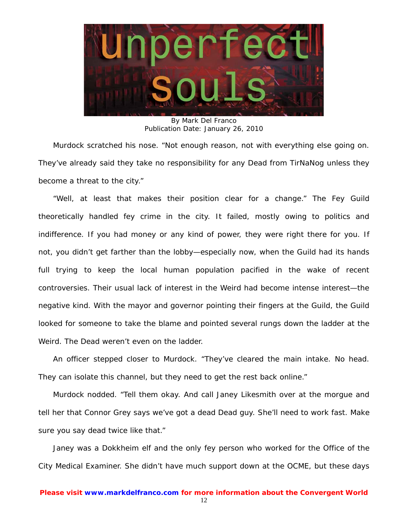

By Mark Del Franco Publication Date: January 26, 2010

Murdock scratched his nose. "Not enough reason, not with everything else going on. They've already said they take no responsibility for any Dead from TirNaNog unless they become a threat to the city."

"Well, at least that makes their position clear for a change." The Fey Guild theoretically handled fey crime in the city. It failed, mostly owing to politics and indifference. If you had money or any kind of power, they were right there for you. If not, you didn't get farther than the lobby—especially now, when the Guild had its hands full trying to keep the local human population pacified in the wake of recent controversies. Their usual lack of interest in the Weird had become intense interest—the negative kind. With the mayor and governor pointing their fingers at the Guild, the Guild looked for someone to take the blame and pointed several rungs down the ladder at the Weird. The Dead weren't even on the ladder.

An officer stepped closer to Murdock. "They've cleared the main intake. No head. They can isolate this channel, but they need to get the rest back online."

Murdock nodded. "Tell them okay. And call Janey Likesmith over at the morgue and tell her that Connor Grey says we've got a dead Dead guy. She'll need to work fast. Make sure you say dead twice like that."

Janey was a Dokkheim elf and the only fey person who worked for the Office of the City Medical Examiner. She didn't have much support down at the OCME, but these days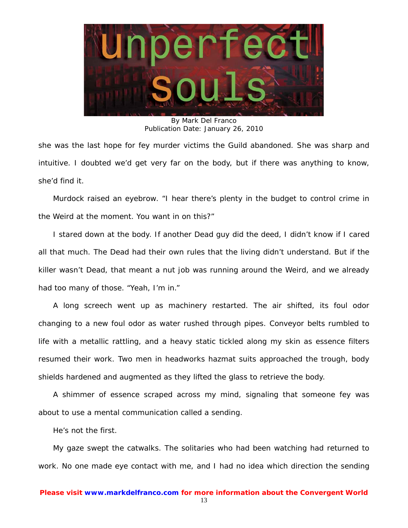

By Mark Del Franco Publication Date: January 26, 2010

she was the last hope for fey murder victims the Guild abandoned. She was sharp and intuitive. I doubted we'd get very far on the body, but if there was anything to know, she'd find it.

Murdock raised an eyebrow. "I hear there's plenty in the budget to control crime in the Weird at the moment. You want in on this?"

I stared down at the body. If another Dead guy did the deed, I didn't know if I cared all that much. The Dead had their own rules that the living didn't understand. But if the killer wasn't Dead, that meant a nut job was running around the Weird, and we already had too many of those. "Yeah, I'm in."

A long screech went up as machinery restarted. The air shifted, its foul odor changing to a new foul odor as water rushed through pipes. Conveyor belts rumbled to life with a metallic rattling, and a heavy static tickled along my skin as essence filters resumed their work. Two men in headworks hazmat suits approached the trough, body shields hardened and augmented as they lifted the glass to retrieve the body.

A shimmer of essence scraped across my mind, signaling that someone fey was about to use a mental communication called a sending.

*He's not the first.*

My gaze swept the catwalks. The solitaries who had been watching had returned to work. No one made eye contact with me, and I had no idea which direction the sending